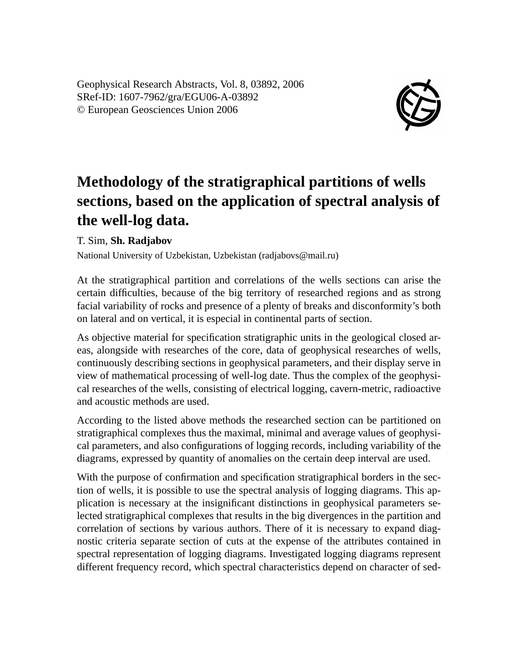Geophysical Research Abstracts, Vol. 8, 03892, 2006 SRef-ID: 1607-7962/gra/EGU06-A-03892 © European Geosciences Union 2006



## **Methodology of the stratigraphical partitions of wells sections, based on the application of spectral analysis of the well-log data.**

## T. Sim, **Sh. Radjabov**

National University of Uzbekistan, Uzbekistan (radjabovs@mail.ru)

At the stratigraphical partition and correlations of the wells sections can arise the certain difficulties, because of the big territory of researched regions and as strong facial variability of rocks and presence of a plenty of breaks and disconformity's both on lateral and on vertical, it is especial in continental parts of section.

As objective material for specification stratigraphic units in the geological closed areas, alongside with researches of the core, data of geophysical researches of wells, continuously describing sections in geophysical parameters, and their display serve in view of mathematical processing of well-log date. Thus the complex of the geophysical researches of the wells, consisting of electrical logging, cavern-metric, radioactive and acoustic methods are used.

According to the listed above methods the researched section can be partitioned on stratigraphical complexes thus the maximal, minimal and average values of geophysical parameters, and also configurations of logging records, including variability of the diagrams, expressed by quantity of anomalies on the certain deep interval are used.

With the purpose of confirmation and specification stratigraphical borders in the section of wells, it is possible to use the spectral analysis of logging diagrams. This application is necessary at the insignificant distinctions in geophysical parameters selected stratigraphical complexes that results in the big divergences in the partition and correlation of sections by various authors. There of it is necessary to expand diagnostic criteria separate section of cuts at the expense of the attributes contained in spectral representation of logging diagrams. Investigated logging diagrams represent different frequency record, which spectral characteristics depend on character of sed